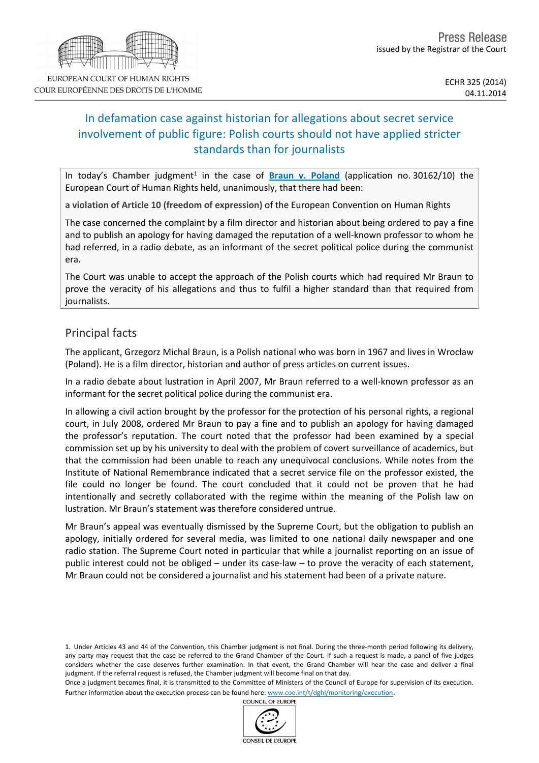# In defamation case against historian for allegations about secret service involvement of public figure: Polish courts should not have applied stricter standards than for journalists

In today's Chamber judgment<sup>1</sup> in the case of **[Braun](http://hudoc.echr.coe.int/sites/eng/pages/search.aspx?i=001-147676) [v.](http://hudoc.echr.coe.int/sites/eng/pages/search.aspx?i=001-147676) [Poland](http://hudoc.echr.coe.int/sites/eng/pages/search.aspx?i=001-147676)** (application no. 30162/10) the European Court of Human Rights held, unanimously, that there had been:

**a violation of Article 10 (freedom of expression)** of the European Convention on Human Rights

The case concerned the complaint by a film director and historian about being ordered to pay a fine and to publish an apology for having damaged the reputation of a well-known professor to whom he had referred, in a radio debate, as an informant of the secret political police during the communist era.

The Court was unable to accept the approach of the Polish courts which had required Mr Braun to prove the veracity of his allegations and thus to fulfil a higher standard than that required from journalists.

## Principal facts

The applicant, Grzegorz Michal Braun, is a Polish national who was born in 1967 and lives in Wrocław (Poland). He is a film director, historian and author of press articles on current issues.

In a radio debate about lustration in April 2007, Mr Braun referred to a well-known professor as an informant for the secret political police during the communist era.

In allowing a civil action brought by the professor for the protection of his personal rights, a regional court, in July 2008, ordered Mr Braun to pay a fine and to publish an apology for having damaged the professor's reputation. The court noted that the professor had been examined by a special commission set up by his university to deal with the problem of covert surveillance of academics, but that the commission had been unable to reach any unequivocal conclusions. While notes from the Institute of National Remembrance indicated that a secret service file on the professor existed, the file could no longer be found. The court concluded that it could not be proven that he had intentionally and secretly collaborated with the regime within the meaning of the Polish law on lustration. Mr Braun's statement was therefore considered untrue.

Mr Braun's appeal was eventually dismissed by the Supreme Court, but the obligation to publish an apology, initially ordered for several media, was limited to one national daily newspaper and one radio station. The Supreme Court noted in particular that while a journalist reporting on an issue of public interest could not be obliged – under its case-law – to prove the veracity of each statement, Mr Braun could not be considered a journalist and his statement had been of a private nature.

1. Under Articles 43 and 44 of the Convention, this Chamber judgment is not final. During the three-month period following its delivery, any party may request that the case be referred to the Grand Chamber of the Court. If such a request is made, a panel of five judges considers whether the case deserves further examination. In that event, the Grand Chamber will hear the case and deliver a final judgment. If the referral request is refused, the Chamber judgment will become final on that day.

Once a judgment becomes final, it is transmitted to the Committee of Ministers of the Council of Europe for supervision of its execution. Further information about the execution process can be found here: [www.coe.int/t/dghl/monitoring/execution](http://www.coe.int/t/dghl/monitoring/execution).

COUNCIL OF EUROPE

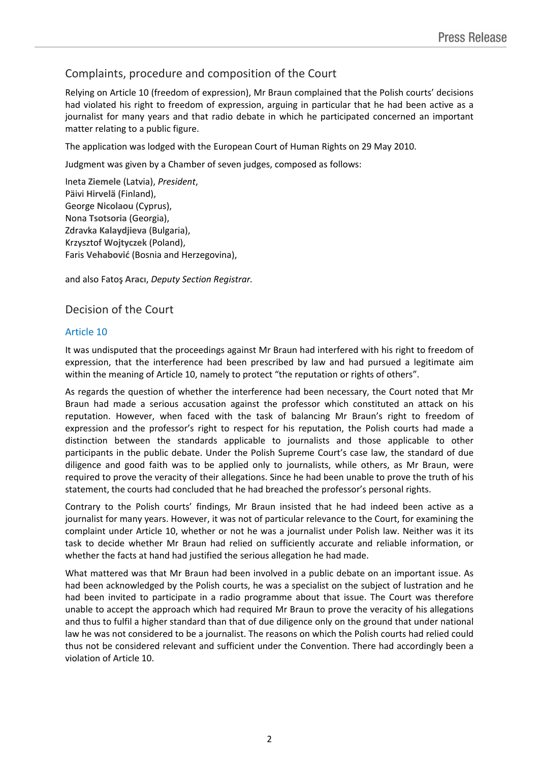# Complaints, procedure and composition of the Court

Relying on Article 10 (freedom of expression), Mr Braun complained that the Polish courts' decisions had violated his right to freedom of expression, arguing in particular that he had been active as a journalist for many years and that radio debate in which he participated concerned an important matter relating to a public figure.

The application was lodged with the European Court of Human Rights on 29 May 2010.

Judgment was given by a Chamber of seven judges, composed as follows:

Ineta **Ziemele** (Latvia), *President*, Päivi **Hirvelä** (Finland), George **Nicolaou** (Cyprus), Nona **Tsotsoria** (Georgia), Zdravka **Kalaydjieva** (Bulgaria), Krzysztof **Wojtyczek** (Poland), Faris **Vehabović** (Bosnia and Herzegovina),

and also Fatoş **Aracı**, *Deputy Section Registrar.*

### Decision of the Court

#### Article 10

It was undisputed that the proceedings against Mr Braun had interfered with his right to freedom of expression, that the interference had been prescribed by law and had pursued a legitimate aim within the meaning of Article 10, namely to protect "the reputation or rights of others".

As regards the question of whether the interference had been necessary, the Court noted that Mr Braun had made a serious accusation against the professor which constituted an attack on his reputation. However, when faced with the task of balancing Mr Braun's right to freedom of expression and the professor's right to respect for his reputation, the Polish courts had made a distinction between the standards applicable to journalists and those applicable to other participants in the public debate. Under the Polish Supreme Court's case law, the standard of due diligence and good faith was to be applied only to journalists, while others, as Mr Braun, were required to prove the veracity of their allegations. Since he had been unable to prove the truth of his statement, the courts had concluded that he had breached the professor's personal rights.

Contrary to the Polish courts' findings, Mr Braun insisted that he had indeed been active as a journalist for many years. However, it was not of particular relevance to the Court, for examining the complaint under Article 10, whether or not he was a journalist under Polish law. Neither was it its task to decide whether Mr Braun had relied on sufficiently accurate and reliable information, or whether the facts at hand had justified the serious allegation he had made.

What mattered was that Mr Braun had been involved in a public debate on an important issue. As had been acknowledged by the Polish courts, he was a specialist on the subject of lustration and he had been invited to participate in a radio programme about that issue. The Court was therefore unable to accept the approach which had required Mr Braun to prove the veracity of his allegations and thus to fulfil a higher standard than that of due diligence only on the ground that under national law he was not considered to be a journalist. The reasons on which the Polish courts had relied could thus not be considered relevant and sufficient under the Convention. There had accordingly been a violation of Article 10.